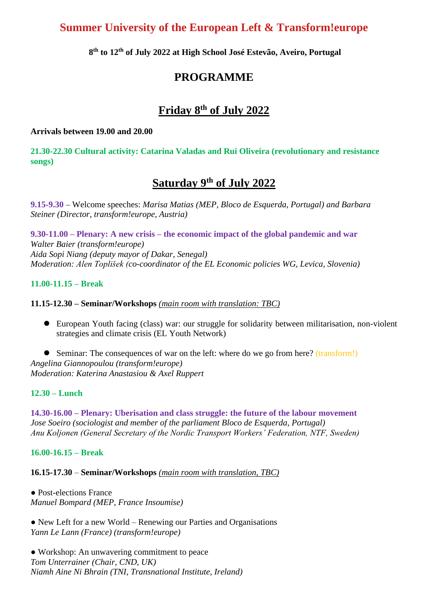## **Summer University of the European Left & Transform!europe**

**8 th to 12 th of July 2022 at High School José Estevão, Aveiro, Portugal**

## **PROGRAMME**

# **Friday 8 th of July 2022**

#### **Arrivals between 19.00 and 20.00**

**21.30-22.30 Cultural activity: Catarina Valadas and Rui Oliveira (revolutionary and resistance songs)** 

# **Saturday 9 th of July 2022**

**9.15-9.30 –** Welcome speeches: *Marisa Matias (MEP, Bloco de Esquerda, Portugal) and Barbara Steiner (Director, transform!europe, Austria)*

**9.30-11.00 – Plenary: A new crisis – the economic impact of the global pandemic and war** *Walter Baier (transform!europe) Aida Sopi Niang (deputy mayor of Dakar, Senegal) Moderation: Alen Toplišek (co-coordinator of the EL Economic policies WG, Levica, Slovenia)*

### **11.00-11.15 – Break**

#### **11.15-12.30 – Seminar/Workshops** *(main room with translation: TBC)*

⚫ European Youth facing (class) war: our struggle for solidarity between militarisation, non-violent strategies and climate crisis (EL Youth Network)

● Seminar: The consequences of war on the left: where do we go from here? (transform!) *Angelina Giannopoulou (transform!europe) Moderation: Katerina Anastasiou & Axel Ruppert*

#### **12.30 – Lunch**

**14.30-16.00 – Plenary: Uberisation and class struggle: the future of the labour movement** *Jose Soeiro (sociologist and member of the parliament Bloco de Esquerda, Portugal) Anu Koljonen (General Secretary of the Nordic Transport Workers' Federation, NTF, Sweden)*

**16.00-16.15 – Break**

**16.15-17.30** – **Seminar/Workshops** *(main room with translation, TBC)*

• Post-elections France *Manuel Bompard (MEP, France Insoumise)*

● New Left for a new World – Renewing our Parties and Organisations *Yann Le Lann (France) (transform!europe)*

• Workshop: An unwavering commitment to peace *Tom Unterrainer (Chair, CND, UK) Niamh Aine Ni Bhrain (TNI, Transnational Institute, Ireland)*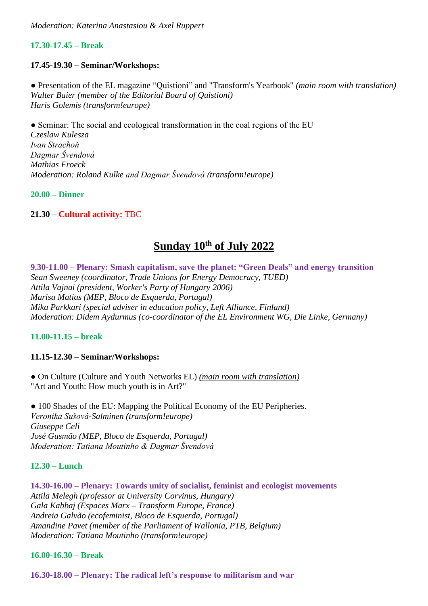### **17.30-17.45 – Break**

### **17.45-19.30 – Seminar/Workshops:**

● Presentation of the EL magazine "Quistioni" and "Transform's Yearbook" *(main room with translation) Walter Baier (member of the Editorial Board of Quistioni) Haris Golemis (transform!europe)*

• Seminar: The social and ecological transformation in the coal regions of the EU *Czeslaw Kulesza Ivan Strachoň Dagmar Švendová Mathias Froeck Moderation: Roland Kulke and Dagmar Švendová (transform!europe)*

**20.00 – Dinner**

### **21.30 – Cultural activity:** TBC

# **Sunday 10th of July 2022**

**9.30-11.00** – **Plenary: Smash capitalism, save the planet: "Green Deals" and energy transition** *Sean Sweeney (coordinator, Trade Unions for Energy Democracy, TUED) Attila Vajnai (president, Worker's Party of Hungary 2006) Marisa Matias (MEP, Bloco de Esquerda, Portugal) Mika Parkkari (special adviser in education policy, Left Alliance, Finland) Moderation: Didem Aydurmus (co-coordinator of the EL Environment WG, Die Linke, Germany)*

### **11.00-11.15 – break**

### **11.15-12.30 – Seminar/Workshops:**

● On Culture (Culture and Youth Networks EL) *(main room with translation)* "Art and Youth: How much youth is in Art?"

● 100 Shades of the EU: Mapping the Political Economy of the EU Peripheries. *Veronika Sušová-Salminen (transform!europe) Giuseppe Celi José Gusmão (MEP, Bloco de Esquerda, Portugal) Moderation: Tatiana Moutinho & Dagmar Švendová*

### **12.30 – Lunch**

**14.30-16.00 – Plenary: Towards unity of socialist, feminist and ecologist movements** *Attila Melegh (professor at University Corvinus, Hungary) Gala Kabbaj (Espaces Marx – Transform Europe, France) Andreia Galvão (ecofeminist, Bloco de Esquerda, Portugal) Amandine Pavet (member of the Parliament of Wallonia, PTB, Belgium) Moderation: Tatiana Moutinho (transform!europe)*

### **16.00-16.30 – Break**

**16.30-18.00 – Plenary: The radical left's response to militarism and war**